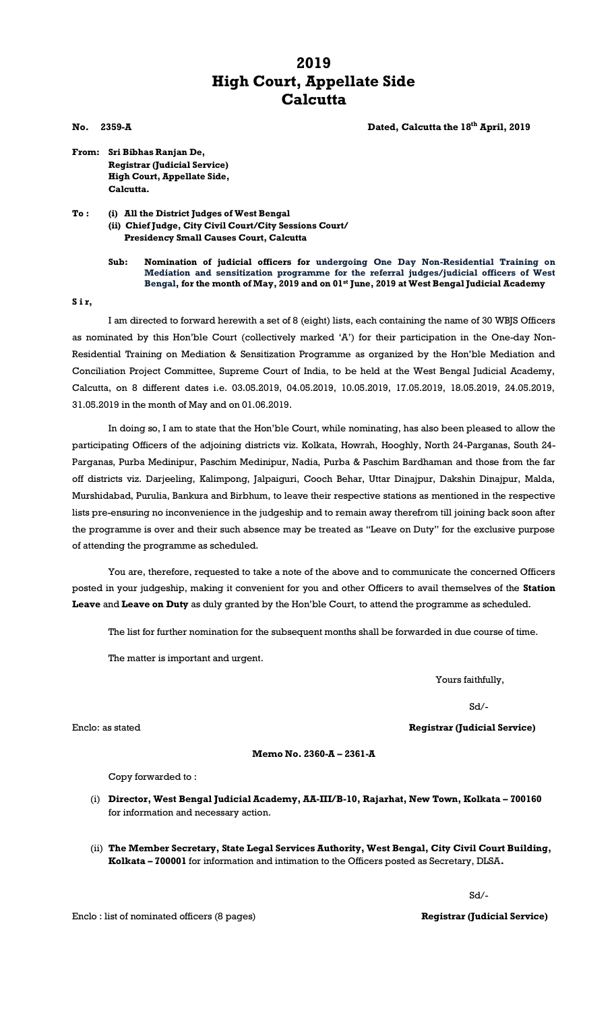## **2019 High Court, Appellate Side Calcutta**

**No. 2359-A Dated, Calcutta the 18th April, 2019**

- **From: Sri Bibhas Ranjan De, Registrar (Judicial Service) High Court, Appellate Side, Calcutta.**
- **To : (i) All the District Judges of West Bengal (ii) Chief Judge, City Civil Court/City Sessions Court/ Presidency Small Causes Court, Calcutta**

### **Sub: Nomination of judicial officers for undergoing One Day Non-Residential Training on Mediation and sensitization programme for the referral judges/judicial officers of West Bengal, for the month of May, 2019 and on 01st June, 2019 at West Bengal Judicial Academy**

**S i r,**

I am directed to forward herewith a set of 8 (eight) lists, each containing the name of 30 WBJS Officers as nominated by this Hon'ble Court (collectively marked 'A') for their participation in the One-day Non-Residential Training on Mediation & Sensitization Programme as organized by the Hon'ble Mediation and Conciliation Project Committee, Supreme Court of India, to be held at the West Bengal Judicial Academy, Calcutta, on 8 different dates i.e. 03.05.2019, 04.05.2019, 10.05.2019, 17.05.2019, 18.05.2019, 24.05.2019, 31.05.2019 in the month of May and on 01.06.2019.

In doing so, I am to state that the Hon'ble Court, while nominating, has also been pleased to allow the participating Officers of the adjoining districts viz. Kolkata, Howrah, Hooghly, North 24-Parganas, South 24- Parganas, Purba Medinipur, Paschim Medinipur, Nadia, Purba & Paschim Bardhaman and those from the far off districts viz. Darjeeling, Kalimpong, Jalpaiguri, Cooch Behar, Uttar Dinajpur, Dakshin Dinajpur, Malda, Murshidabad, Purulia, Bankura and Birbhum, to leave their respective stations as mentioned in the respective lists pre-ensuring no inconvenience in the judgeship and to remain away therefrom till joining back soon after the programme is over and their such absence may be treated as "Leave on Duty" for the exclusive purpose of attending the programme as scheduled.

You are, therefore, requested to take a note of the above and to communicate the concerned Officers posted in your judgeship, making it convenient for you and other Officers to avail themselves of the **Station Leave** and **Leave on Duty** as duly granted by the Hon'ble Court, to attend the programme as scheduled.

The list for further nomination for the subsequent months shall be forwarded in due course of time.

The matter is important and urgent.

Yours faithfully,

Sd/-

Enclo: as stated **Registrar (Judicial Service)**

**Memo No. 2360-A – 2361-A**

Copy forwarded to :

- (i) **Director, West Bengal Judicial Academy, AA-III/B-10, Rajarhat, New Town, Kolkata – 700160**  for information and necessary action.
- (ii) **The Member Secretary, State Legal Services Authority, West Bengal, City Civil Court Building, Kolkata – 700001** for information and intimation to the Officers posted as Secretary, DLSA**.**

Sd/-

Enclo : list of nominated officers (8 pages) **Registrar (Judicial Service)**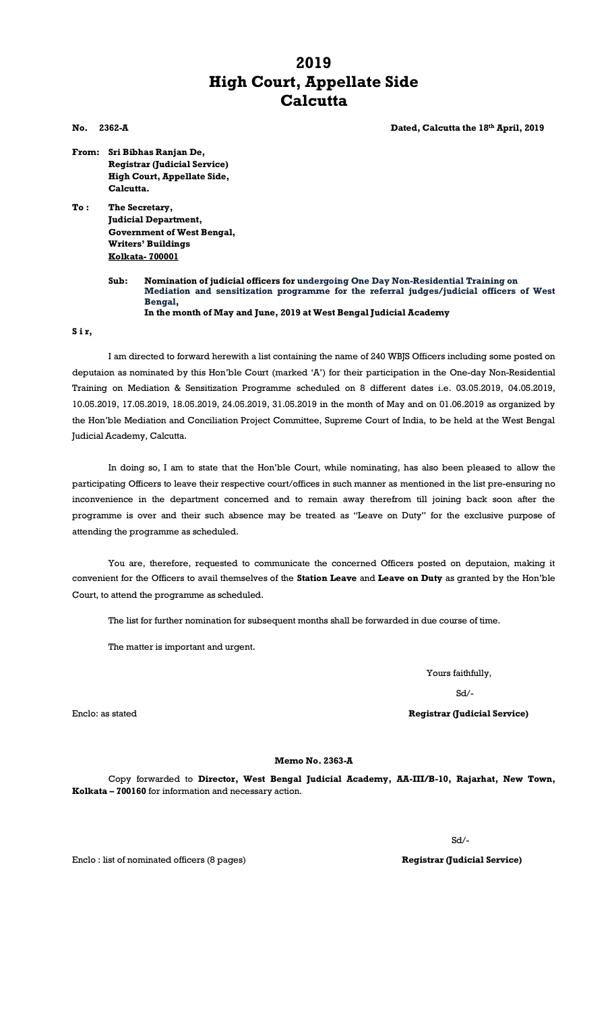# **2019 High Court, Appellate Side Calcutta**

**No. 2362-A Dated, Calcutta the 18th April, 2019**

- **From: Sri Bibhas Ranjan De, Registrar (Judicial Service) High Court, Appellate Side, Calcutta.**
- **To : The Secretary, Judicial Department, Government of West Bengal, Writers' Buildings Kolkata- 700001**
	- **Sub: Nomination of judicial officers for undergoing One Day Non-Residential Training on Mediation and sensitization programme for the referral judges/judicial officers of West Bengal, In the month of May and June, 2019 at West Bengal Judicial Academy**

**S i r,**

I am directed to forward herewith a list containing the name of 240 WBJS Officers including some posted on deputaion as nominated by this Hon'ble Court (marked 'A') for their participation in the One-day Non-Residential Training on Mediation & Sensitization Programme scheduled on 8 different dates i.e. 03.05.2019, 04.05.2019, 10.05.2019, 17.05.2019, 18.05.2019, 24.05.2019, 31.05.2019 in the month of May and on 01.06.2019 as organized by the Hon'ble Mediation and Conciliation Project Committee, Supreme Court of India, to be held at the West Bengal Judicial Academy, Calcutta.

In doing so, I am to state that the Hon'ble Court, while nominating, has also been pleased to allow the participating Officers to leave their respective court/offices in such manner as mentioned in the list pre-ensuring no inconvenience in the department concerned and to remain away therefrom till joining back soon after the programme is over and their such absence may be treated as "Leave on Duty" for the exclusive purpose of attending the programme as scheduled.

You are, therefore, requested to communicate the concerned Officers posted on deputaion, making it convenient for the Officers to avail themselves of the **Station Leave** and **Leave on Duty** as granted by the Hon'ble Court, to attend the programme as scheduled.

The list for further nomination for subsequent months shall be forwarded in due course of time.

The matter is important and urgent.

Yours faithfully,

Sd/-

### Enclo: as stated **Registrar (Judicial Service)**

#### **Memo No. 2363-A**

Copy forwarded to **Director, West Bengal Judicial Academy, AA-III/B-10, Rajarhat, New Town, Kolkata – 700160** for information and necessary action.

Sd/-

Enclo : list of nominated officers (8 pages) **Registrar (Judicial Service)**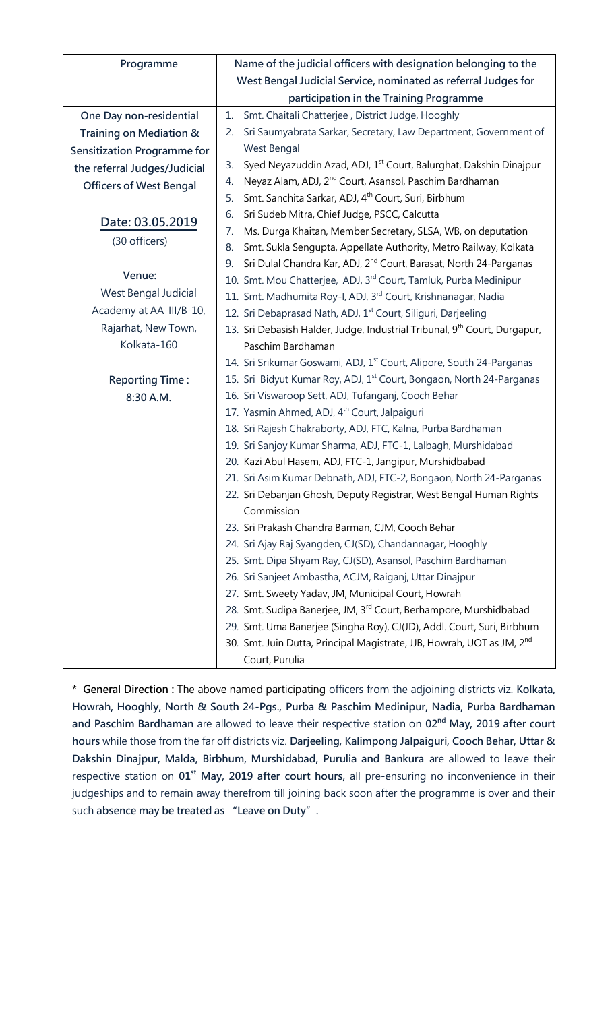| Programme                          | Name of the judicial officers with designation belonging to the                       |
|------------------------------------|---------------------------------------------------------------------------------------|
|                                    | West Bengal Judicial Service, nominated as referral Judges for                        |
|                                    | participation in the Training Programme                                               |
| One Day non-residential            | Smt. Chaitali Chatterjee, District Judge, Hooghly<br>1.                               |
| Training on Mediation &            | Sri Saumyabrata Sarkar, Secretary, Law Department, Government of<br>2.                |
| <b>Sensitization Programme for</b> | West Bengal                                                                           |
| the referral Judges/Judicial       | Syed Neyazuddin Azad, ADJ, 1 <sup>st</sup> Court, Balurghat, Dakshin Dinajpur<br>3.   |
| <b>Officers of West Bengal</b>     | Neyaz Alam, ADJ, 2 <sup>nd</sup> Court, Asansol, Paschim Bardhaman<br>4.              |
|                                    | Smt. Sanchita Sarkar, ADJ, 4 <sup>th</sup> Court, Suri, Birbhum<br>5.                 |
| Date: 03.05.2019                   | Sri Sudeb Mitra, Chief Judge, PSCC, Calcutta<br>6.                                    |
|                                    | Ms. Durga Khaitan, Member Secretary, SLSA, WB, on deputation<br>7.                    |
| (30 officers)                      | Smt. Sukla Sengupta, Appellate Authority, Metro Railway, Kolkata<br>8.                |
|                                    | Sri Dulal Chandra Kar, ADJ, 2 <sup>nd</sup> Court, Barasat, North 24-Parganas<br>9.   |
| Venue:                             | 10. Smt. Mou Chatterjee, ADJ, 3 <sup>rd</sup> Court, Tamluk, Purba Medinipur          |
| West Bengal Judicial               | 11. Smt. Madhumita Roy-I, ADJ, 3rd Court, Krishnanagar, Nadia                         |
| Academy at AA-III/B-10,            | 12. Sri Debaprasad Nath, ADJ, 1 <sup>st</sup> Court, Siliguri, Darjeeling             |
| Rajarhat, New Town,                | 13. Sri Debasish Halder, Judge, Industrial Tribunal, 9 <sup>th</sup> Court, Durgapur, |
| Kolkata-160                        | Paschim Bardhaman                                                                     |
|                                    | 14. Sri Srikumar Goswami, ADJ, 1 <sup>st</sup> Court, Alipore, South 24-Parganas      |
| <b>Reporting Time:</b>             | 15. Sri Bidyut Kumar Roy, ADJ, 1 <sup>st</sup> Court, Bongaon, North 24-Parganas      |
| 8:30 A.M.                          | 16. Sri Viswaroop Sett, ADJ, Tufanganj, Cooch Behar                                   |
|                                    | 17. Yasmin Ahmed, ADJ, 4 <sup>th</sup> Court, Jalpaiguri                              |
|                                    | 18. Sri Rajesh Chakraborty, ADJ, FTC, Kalna, Purba Bardhaman                          |
|                                    | 19. Sri Sanjoy Kumar Sharma, ADJ, FTC-1, Lalbagh, Murshidabad                         |
|                                    | 20. Kazi Abul Hasem, ADJ, FTC-1, Jangipur, Murshidbabad                               |
|                                    | 21. Sri Asim Kumar Debnath, ADJ, FTC-2, Bongaon, North 24-Parganas                    |
|                                    | 22. Sri Debanjan Ghosh, Deputy Registrar, West Bengal Human Rights                    |
|                                    | Commission                                                                            |
|                                    | 23. Sri Prakash Chandra Barman, CJM, Cooch Behar                                      |
|                                    | 24. Sri Ajay Raj Syangden, CJ(SD), Chandannagar, Hooghly                              |
|                                    | 25. Smt. Dipa Shyam Ray, CJ(SD), Asansol, Paschim Bardhaman                           |
|                                    | 26. Sri Sanjeet Ambastha, ACJM, Raiganj, Uttar Dinajpur                               |
|                                    | 27. Smt. Sweety Yadav, JM, Municipal Court, Howrah                                    |
|                                    | 28. Smt. Sudipa Banerjee, JM, 3 <sup>rd</sup> Court, Berhampore, Murshidbabad         |
|                                    | 29. Smt. Uma Banerjee (Singha Roy), CJ(JD), Addl. Court, Suri, Birbhum                |
|                                    | 30. Smt. Juin Dutta, Principal Magistrate, JJB, Howrah, UOT as JM, 2 <sup>nd</sup>    |
|                                    | Court, Purulia                                                                        |

**\* General Direction :** The above named participating officers from the adjoining districts viz. **Kolkata, Howrah, Hooghly, North & South 24-Pgs., Purba & Paschim Medinipur, Nadia, Purba Bardhaman and Paschim Bardhaman** are allowed to leave their respective station on **02nd May, 2019 after court hours** while those from the far off districts viz. **Darjeeling, Kalimpong Jalpaiguri, Cooch Behar, Uttar & Dakshin Dinajpur, Malda, Birbhum, Murshidabad, Purulia and Bankura** are allowed to leave their respective station on **01st May, 2019 after court hours,** all pre-ensuring no inconvenience in their judgeships and to remain away therefrom till joining back soon after the programme is over and their such **absence may be treated as "Leave on Duty".**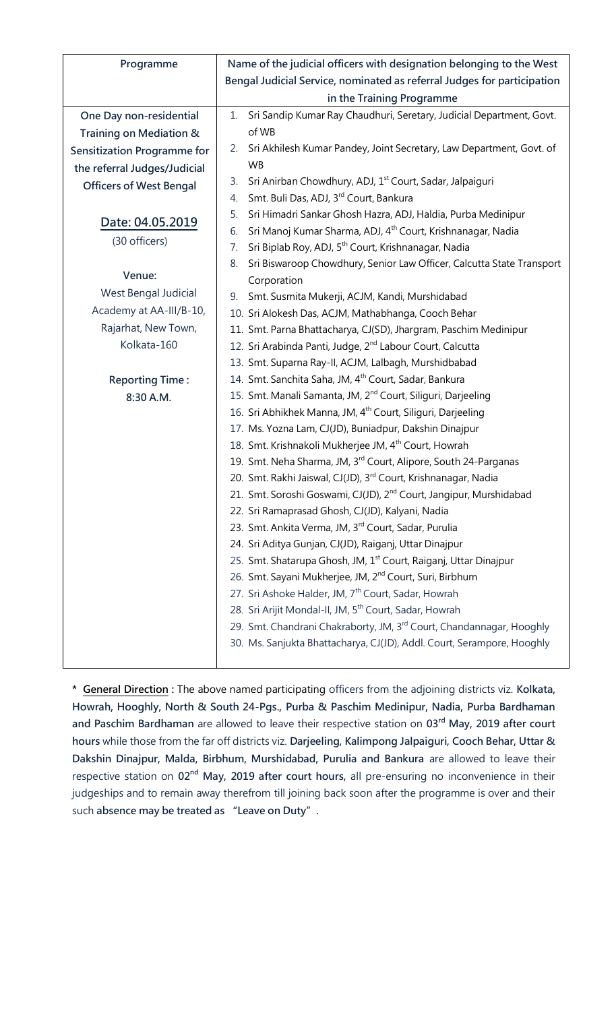| Programme                          | Name of the judicial officers with designation belonging to the West                                                                  |
|------------------------------------|---------------------------------------------------------------------------------------------------------------------------------------|
|                                    | Bengal Judicial Service, nominated as referral Judges for participation                                                               |
|                                    | in the Training Programme                                                                                                             |
| One Day non-residential            | 1. Sri Sandip Kumar Ray Chaudhuri, Seretary, Judicial Department, Govt.                                                               |
| Training on Mediation &            | of WB                                                                                                                                 |
| <b>Sensitization Programme for</b> | Sri Akhilesh Kumar Pandey, Joint Secretary, Law Department, Govt. of<br>2.                                                            |
| the referral Judges/Judicial       | <b>WB</b>                                                                                                                             |
| <b>Officers of West Bengal</b>     | Sri Anirban Chowdhury, ADJ, 1 <sup>st</sup> Court, Sadar, Jalpaiguri<br>3.                                                            |
|                                    | Smt. Buli Das, ADJ, 3rd Court, Bankura<br>4.                                                                                          |
| Date: 04.05.2019                   | Sri Himadri Sankar Ghosh Hazra, ADJ, Haldia, Purba Medinipur<br>5.                                                                    |
| (30 officers)                      | Sri Manoj Kumar Sharma, ADJ, 4 <sup>th</sup> Court, Krishnanagar, Nadia<br>6.                                                         |
|                                    | Sri Biplab Roy, ADJ, 5 <sup>th</sup> Court, Krishnanagar, Nadia<br>7.                                                                 |
| Venue:                             | Sri Biswaroop Chowdhury, Senior Law Officer, Calcutta State Transport<br>8.                                                           |
|                                    | Corporation                                                                                                                           |
| West Bengal Judicial               | Smt. Susmita Mukerji, ACJM, Kandi, Murshidabad<br>9.                                                                                  |
| Academy at AA-III/B-10,            | 10. Sri Alokesh Das, ACJM, Mathabhanga, Cooch Behar                                                                                   |
| Rajarhat, New Town,                | 11. Smt. Parna Bhattacharya, CJ(SD), Jhargram, Paschim Medinipur                                                                      |
| Kolkata-160                        | 12. Sri Arabinda Panti, Judge, 2 <sup>nd</sup> Labour Court, Calcutta                                                                 |
|                                    | 13. Smt. Suparna Ray-II, ACJM, Lalbagh, Murshidbabad                                                                                  |
| <b>Reporting Time:</b>             | 14. Smt. Sanchita Saha, JM, 4 <sup>th</sup> Court, Sadar, Bankura                                                                     |
| 8:30 A.M.                          | 15. Smt. Manali Samanta, JM, 2 <sup>nd</sup> Court, Siliguri, Darjeeling                                                              |
|                                    | 16. Sri Abhikhek Manna, JM, 4 <sup>th</sup> Court, Siliguri, Darjeeling                                                               |
|                                    | 17. Ms. Yozna Lam, CJ(JD), Buniadpur, Dakshin Dinajpur                                                                                |
|                                    | 18. Smt. Krishnakoli Mukherjee JM, 4 <sup>th</sup> Court, Howrah                                                                      |
|                                    | 19. Smt. Neha Sharma, JM, 3 <sup>rd</sup> Court, Alipore, South 24-Parganas                                                           |
|                                    | 20. Smt. Rakhi Jaiswal, CJ(JD), 3rd Court, Krishnanagar, Nadia                                                                        |
|                                    | 21. Smt. Soroshi Goswami, CJ(JD), 2 <sup>nd</sup> Court, Jangipur, Murshidabad                                                        |
|                                    | 22. Sri Ramaprasad Ghosh, CJ(JD), Kalyani, Nadia                                                                                      |
|                                    | 23. Smt. Ankita Verma, JM, 3rd Court, Sadar, Purulia                                                                                  |
|                                    | 24. Sri Aditya Gunjan, CJ(JD), Raiganj, Uttar Dinajpur                                                                                |
|                                    | 25. Smt. Shatarupa Ghosh, JM, 1 <sup>st</sup> Court, Raiganj, Uttar Dinajpur                                                          |
|                                    | 26. Smt. Sayani Mukherjee, JM, 2 <sup>nd</sup> Court, Suri, Birbhum                                                                   |
|                                    | 27. Sri Ashoke Halder, JM, 7 <sup>th</sup> Court, Sadar, Howrah<br>28. Sri Arijit Mondal-II, JM, 5 <sup>th</sup> Court, Sadar, Howrah |
|                                    | 29. Smt. Chandrani Chakraborty, JM, 3 <sup>rd</sup> Court, Chandannagar, Hooghly                                                      |
|                                    | 30. Ms. Sanjukta Bhattacharya, CJ(JD), Addl. Court, Serampore, Hooghly                                                                |
|                                    |                                                                                                                                       |
|                                    |                                                                                                                                       |

**\* General Direction :** The above named participating officers from the adjoining districts viz. **Kolkata, Howrah, Hooghly, North & South 24-Pgs., Purba & Paschim Medinipur, Nadia, Purba Bardhaman and Paschim Bardhaman** are allowed to leave their respective station on **03rd May, 2019 after court hours** while those from the far off districts viz. **Darjeeling, Kalimpong Jalpaiguri, Cooch Behar, Uttar & Dakshin Dinajpur, Malda, Birbhum, Murshidabad, Purulia and Bankura** are allowed to leave their respective station on **02nd May, 2019 after court hours,** all pre-ensuring no inconvenience in their judgeships and to remain away therefrom till joining back soon after the programme is over and their such **absence may be treated as "Leave on Duty".**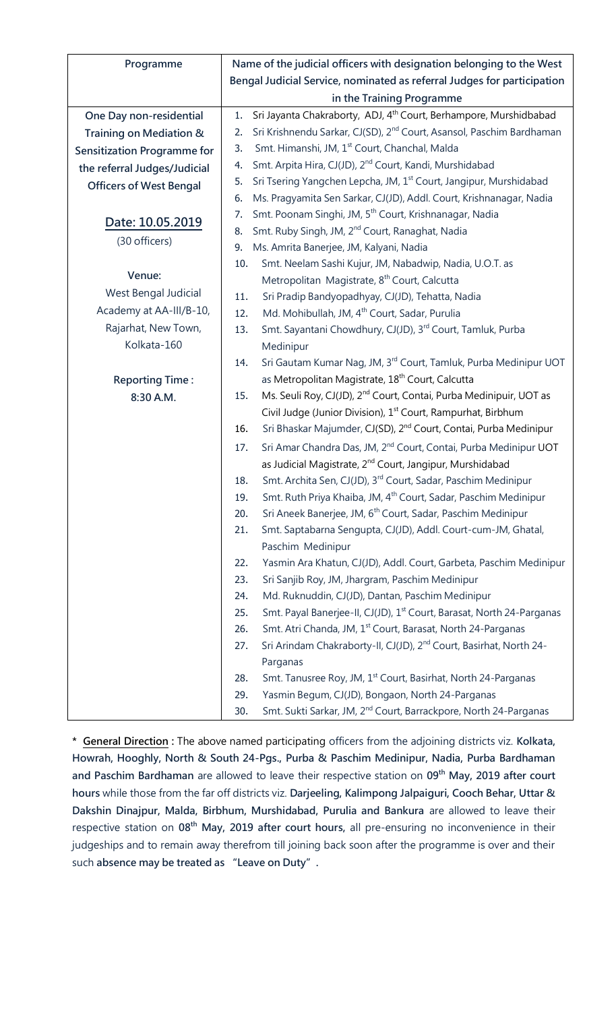| Programme                          | Name of the judicial officers with designation belonging to the West                     |
|------------------------------------|------------------------------------------------------------------------------------------|
|                                    | Bengal Judicial Service, nominated as referral Judges for participation                  |
|                                    | in the Training Programme                                                                |
| One Day non-residential            | Sri Jayanta Chakraborty, ADJ, 4 <sup>th</sup> Court, Berhampore, Murshidbabad<br>1.      |
| Training on Mediation &            | Sri Krishnendu Sarkar, CJ(SD), 2 <sup>nd</sup> Court, Asansol, Paschim Bardhaman<br>2.   |
| <b>Sensitization Programme for</b> | Smt. Himanshi, JM, 1 <sup>st</sup> Court, Chanchal, Malda<br>3.                          |
| the referral Judges/Judicial       | Smt. Arpita Hira, CJ(JD), 2 <sup>nd</sup> Court, Kandi, Murshidabad<br>4.                |
| <b>Officers of West Bengal</b>     | Sri Tsering Yangchen Lepcha, JM, 1 <sup>st</sup> Court, Jangipur, Murshidabad<br>5.      |
|                                    | Ms. Pragyamita Sen Sarkar, CJ(JD), Addl. Court, Krishnanagar, Nadia<br>6.                |
| Date: 10.05.2019                   | Smt. Poonam Singhi, JM, 5 <sup>th</sup> Court, Krishnanagar, Nadia<br>7.                 |
|                                    | Smt. Ruby Singh, JM, 2 <sup>nd</sup> Court, Ranaghat, Nadia<br>8.                        |
| (30 officers)                      | Ms. Amrita Banerjee, JM, Kalyani, Nadia<br>9.                                            |
|                                    | Smt. Neelam Sashi Kujur, JM, Nabadwip, Nadia, U.O.T. as<br>10.                           |
| Venue:                             | Metropolitan Magistrate, 8 <sup>th</sup> Court, Calcutta                                 |
| West Bengal Judicial               | Sri Pradip Bandyopadhyay, CJ(JD), Tehatta, Nadia<br>11.                                  |
| Academy at AA-III/B-10,            | Md. Mohibullah, JM, 4 <sup>th</sup> Court, Sadar, Purulia<br>12.                         |
| Rajarhat, New Town,                | Smt. Sayantani Chowdhury, CJ(JD), 3rd Court, Tamluk, Purba<br>13.                        |
| Kolkata-160                        | Medinipur                                                                                |
|                                    | Sri Gautam Kumar Nag, JM, 3 <sup>rd</sup> Court, Tamluk, Purba Medinipur UOT<br>14.      |
| <b>Reporting Time:</b>             | as Metropolitan Magistrate, 18 <sup>th</sup> Court, Calcutta                             |
| 8:30 A.M.                          | Ms. Seuli Roy, CJ(JD), 2 <sup>nd</sup> Court, Contai, Purba Medinipuir, UOT as<br>15.    |
|                                    | Civil Judge (Junior Division), 1 <sup>st</sup> Court, Rampurhat, Birbhum                 |
|                                    | Sri Bhaskar Majumder, CJ(SD), 2 <sup>nd</sup> Court, Contai, Purba Medinipur<br>16.      |
|                                    | Sri Amar Chandra Das, JM, 2 <sup>nd</sup> Court, Contai, Purba Medinipur UOT<br>17.      |
|                                    | as Judicial Magistrate, 2 <sup>nd</sup> Court, Jangipur, Murshidabad                     |
|                                    | Smt. Archita Sen, CJ(JD), 3 <sup>rd</sup> Court, Sadar, Paschim Medinipur<br>18.         |
|                                    | Smt. Ruth Priya Khaiba, JM, 4 <sup>th</sup> Court, Sadar, Paschim Medinipur<br>19.       |
|                                    | Sri Aneek Banerjee, JM, 6 <sup>th</sup> Court, Sadar, Paschim Medinipur<br>20.           |
|                                    | Smt. Saptabarna Sengupta, CJ(JD), Addl. Court-cum-JM, Ghatal,<br>21.                     |
|                                    | Paschim Medinipur                                                                        |
|                                    | Yasmin Ara Khatun, CJ(JD), Addl. Court, Garbeta, Paschim Medinipur<br>22.                |
|                                    | 23.<br>Sri Sanjib Roy, JM, Jhargram, Paschim Medinipur                                   |
|                                    | Md. Ruknuddin, CJ(JD), Dantan, Paschim Medinipur<br>24.                                  |
|                                    | Smt. Payal Banerjee-II, CJ(JD), 1 <sup>st</sup> Court, Barasat, North 24-Parganas<br>25. |
|                                    | Smt. Atri Chanda, JM, 1 <sup>st</sup> Court, Barasat, North 24-Parganas<br>26.           |
|                                    | Sri Arindam Chakraborty-II, CJ(JD), 2 <sup>nd</sup> Court, Basirhat, North 24-<br>27.    |
|                                    | Parganas                                                                                 |
|                                    | Smt. Tanusree Roy, JM, 1 <sup>st</sup> Court, Basirhat, North 24-Parganas<br>28.         |
|                                    | Yasmin Begum, CJ(JD), Bongaon, North 24-Parganas<br>29.                                  |
|                                    | Smt. Sukti Sarkar, JM, 2 <sup>nd</sup> Court, Barrackpore, North 24-Parganas<br>30.      |

**\* General Direction :** The above named participating officers from the adjoining districts viz. **Kolkata, Howrah, Hooghly, North & South 24-Pgs., Purba & Paschim Medinipur, Nadia, Purba Bardhaman and Paschim Bardhaman** are allowed to leave their respective station on **09th May, 2019 after court hours** while those from the far off districts viz. **Darjeeling, Kalimpong Jalpaiguri, Cooch Behar, Uttar & Dakshin Dinajpur, Malda, Birbhum, Murshidabad, Purulia and Bankura** are allowed to leave their respective station on **08th May, 2019 after court hours,** all pre-ensuring no inconvenience in their judgeships and to remain away therefrom till joining back soon after the programme is over and their such **absence may be treated as "Leave on Duty".**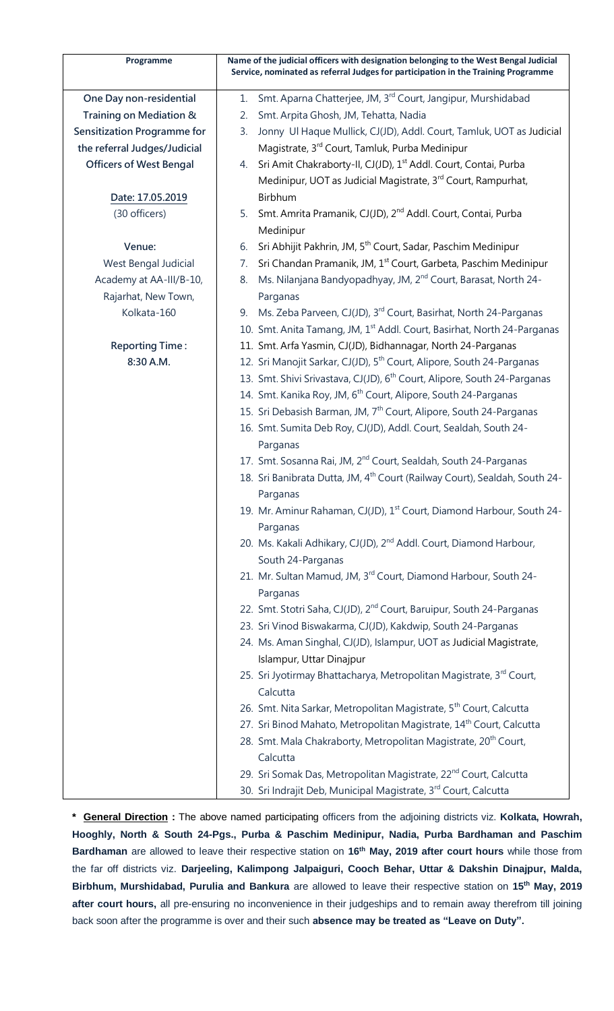| Programme                          | Name of the judicial officers with designation belonging to the West Bengal Judicial<br>Service, nominated as referral Judges for participation in the Training Programme |
|------------------------------------|---------------------------------------------------------------------------------------------------------------------------------------------------------------------------|
| One Day non-residential            | Smt. Aparna Chatterjee, JM, 3 <sup>rd</sup> Court, Jangipur, Murshidabad<br>1.                                                                                            |
| Training on Mediation &            | Smt. Arpita Ghosh, JM, Tehatta, Nadia<br>2.                                                                                                                               |
| <b>Sensitization Programme for</b> | Jonny Ul Haque Mullick, CJ(JD), Addl. Court, Tamluk, UOT as Judicial<br>3.                                                                                                |
| the referral Judges/Judicial       | Magistrate, 3 <sup>rd</sup> Court, Tamluk, Purba Medinipur                                                                                                                |
| <b>Officers of West Bengal</b>     | Sri Amit Chakraborty-II, CJ(JD), 1 <sup>st</sup> Addl. Court, Contai, Purba<br>4.                                                                                         |
|                                    | Medinipur, UOT as Judicial Magistrate, 3 <sup>rd</sup> Court, Rampurhat,                                                                                                  |
| Date: 17.05.2019                   | Birbhum                                                                                                                                                                   |
| (30 officers)                      | Smt. Amrita Pramanik, CJ(JD), 2 <sup>nd</sup> Addl. Court, Contai, Purba<br>5.                                                                                            |
|                                    | Medinipur                                                                                                                                                                 |
| Venue:                             | Sri Abhijit Pakhrin, JM, 5 <sup>th</sup> Court, Sadar, Paschim Medinipur<br>6.                                                                                            |
| West Bengal Judicial               | Sri Chandan Pramanik, JM, 1 <sup>st</sup> Court, Garbeta, Paschim Medinipur<br>7.                                                                                         |
| Academy at AA-III/B-10,            | Ms. Nilanjana Bandyopadhyay, JM, 2 <sup>nd</sup> Court, Barasat, North 24-<br>8.                                                                                          |
| Rajarhat, New Town,                | Parganas                                                                                                                                                                  |
| Kolkata-160                        | 9. Ms. Zeba Parveen, CJ(JD), 3 <sup>rd</sup> Court, Basirhat, North 24-Parganas                                                                                           |
|                                    | 10. Smt. Anita Tamang, JM, 1 <sup>st</sup> Addl. Court, Basirhat, North 24-Parganas                                                                                       |
| <b>Reporting Time:</b>             | 11. Smt. Arfa Yasmin, CJ(JD), Bidhannagar, North 24-Parganas                                                                                                              |
| 8:30 A.M.                          | 12. Sri Manojit Sarkar, CJ(JD), 5 <sup>th</sup> Court, Alipore, South 24-Parganas                                                                                         |
|                                    | 13. Smt. Shivi Srivastava, CJ(JD), 6 <sup>th</sup> Court, Alipore, South 24-Parganas                                                                                      |
|                                    | 14. Smt. Kanika Roy, JM, 6 <sup>th</sup> Court, Alipore, South 24-Parganas                                                                                                |
|                                    | 15. Sri Debasish Barman, JM, 7 <sup>th</sup> Court, Alipore, South 24-Parganas                                                                                            |
|                                    | 16. Smt. Sumita Deb Roy, CJ(JD), Addl. Court, Sealdah, South 24-                                                                                                          |
|                                    | Parganas                                                                                                                                                                  |
|                                    | 17. Smt. Sosanna Rai, JM, 2 <sup>nd</sup> Court, Sealdah, South 24-Parganas                                                                                               |
|                                    | 18. Sri Banibrata Dutta, JM, 4 <sup>th</sup> Court (Railway Court), Sealdah, South 24-                                                                                    |
|                                    | Parganas                                                                                                                                                                  |
|                                    | 19. Mr. Aminur Rahaman, CJ(JD), 1 <sup>st</sup> Court, Diamond Harbour, South 24-                                                                                         |
|                                    | Parganas                                                                                                                                                                  |
|                                    | 20. Ms. Kakali Adhikary, CJ(JD), 2 <sup>nd</sup> Addl. Court, Diamond Harbour,<br>South 24-Parganas                                                                       |
|                                    | 21. Mr. Sultan Mamud, JM, 3 <sup>rd</sup> Court, Diamond Harbour, South 24-<br>Parganas                                                                                   |
|                                    | 22. Smt. Stotri Saha, CJ(JD), 2 <sup>nd</sup> Court, Baruipur, South 24-Parganas                                                                                          |
|                                    | 23. Sri Vinod Biswakarma, CJ(JD), Kakdwip, South 24-Parganas                                                                                                              |
|                                    | 24. Ms. Aman Singhal, CJ(JD), Islampur, UOT as Judicial Magistrate,                                                                                                       |
|                                    | Islampur, Uttar Dinajpur                                                                                                                                                  |
|                                    | 25. Sri Jyotirmay Bhattacharya, Metropolitan Magistrate, 3rd Court,                                                                                                       |
|                                    | Calcutta                                                                                                                                                                  |
|                                    | 26. Smt. Nita Sarkar, Metropolitan Magistrate, 5 <sup>th</sup> Court, Calcutta                                                                                            |
|                                    | 27. Sri Binod Mahato, Metropolitan Magistrate, 14 <sup>th</sup> Court, Calcutta                                                                                           |
|                                    | 28. Smt. Mala Chakraborty, Metropolitan Magistrate, 20 <sup>th</sup> Court,                                                                                               |
|                                    | Calcutta                                                                                                                                                                  |
|                                    | 29. Sri Somak Das, Metropolitan Magistrate, 22 <sup>nd</sup> Court, Calcutta                                                                                              |
|                                    | 30. Sri Indrajit Deb, Municipal Magistrate, 3rd Court, Calcutta                                                                                                           |

**\* General Direction :** The above named participating officers from the adjoining districts viz. **Kolkata, Howrah, Hooghly, North & South 24-Pgs., Purba & Paschim Medinipur, Nadia, Purba Bardhaman and Paschim Bardhaman** are allowed to leave their respective station on **16th May, 2019 after court hours** while those from the far off districts viz. **Darjeeling, Kalimpong Jalpaiguri, Cooch Behar, Uttar & Dakshin Dinajpur, Malda, Birbhum, Murshidabad, Purulia and Bankura** are allowed to leave their respective station on **15th May, 2019 after court hours,** all pre-ensuring no inconvenience in their judgeships and to remain away therefrom till joining back soon after the programme is over and their such **absence may be treated as "Leave on Duty".**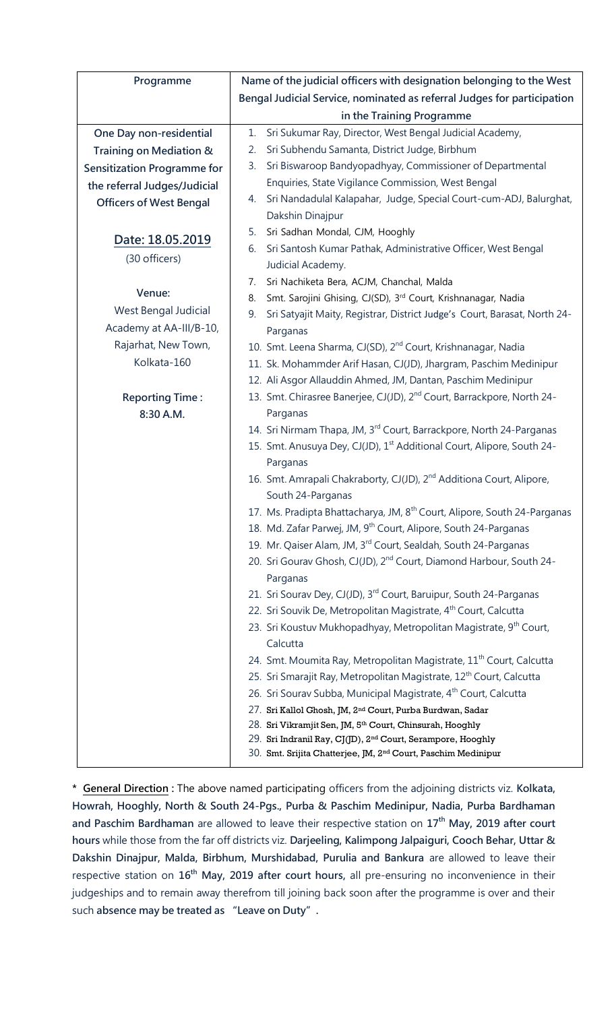| Programme                          | Name of the judicial officers with designation belonging to the West                                                                                 |
|------------------------------------|------------------------------------------------------------------------------------------------------------------------------------------------------|
|                                    | Bengal Judicial Service, nominated as referral Judges for participation                                                                              |
|                                    | in the Training Programme                                                                                                                            |
| One Day non-residential            | Sri Sukumar Ray, Director, West Bengal Judicial Academy,<br>1.                                                                                       |
| Training on Mediation &            | Sri Subhendu Samanta, District Judge, Birbhum<br>2.                                                                                                  |
| <b>Sensitization Programme for</b> | Sri Biswaroop Bandyopadhyay, Commissioner of Departmental<br>3.                                                                                      |
| the referral Judges/Judicial       | Enquiries, State Vigilance Commission, West Bengal                                                                                                   |
| <b>Officers of West Bengal</b>     | Sri Nandadulal Kalapahar, Judge, Special Court-cum-ADJ, Balurghat,<br>4.                                                                             |
|                                    | Dakshin Dinajpur                                                                                                                                     |
| Date: 18.05.2019                   | Sri Sadhan Mondal, CJM, Hooghly<br>5.                                                                                                                |
| (30 officers)                      | Sri Santosh Kumar Pathak, Administrative Officer, West Bengal<br>6.                                                                                  |
|                                    | Judicial Academy.                                                                                                                                    |
|                                    | Sri Nachiketa Bera, ACJM, Chanchal, Malda<br>7.                                                                                                      |
| Venue:                             | Smt. Sarojini Ghising, CJ(SD), 3rd Court, Krishnanagar, Nadia<br>8.                                                                                  |
| West Bengal Judicial               | 9.<br>Sri Satyajit Maity, Registrar, District Judge's Court, Barasat, North 24-                                                                      |
| Academy at AA-III/B-10,            | Parganas                                                                                                                                             |
| Rajarhat, New Town,                | 10. Smt. Leena Sharma, CJ(SD), 2 <sup>nd</sup> Court, Krishnanagar, Nadia                                                                            |
| Kolkata-160                        | 11. Sk. Mohammder Arif Hasan, CJ(JD), Jhargram, Paschim Medinipur                                                                                    |
|                                    | 12. Ali Asgor Allauddin Ahmed, JM, Dantan, Paschim Medinipur                                                                                         |
| <b>Reporting Time:</b>             | 13. Smt. Chirasree Banerjee, CJ(JD), 2 <sup>nd</sup> Court, Barrackpore, North 24-                                                                   |
| 8:30 A.M.                          | Parganas                                                                                                                                             |
|                                    | 14. Sri Nirmam Thapa, JM, 3 <sup>rd</sup> Court, Barrackpore, North 24-Parganas                                                                      |
|                                    | 15. Smt. Anusuya Dey, CJ(JD), 1 <sup>st</sup> Additional Court, Alipore, South 24-                                                                   |
|                                    | Parganas                                                                                                                                             |
|                                    | 16. Smt. Amrapali Chakraborty, CJ(JD), 2 <sup>nd</sup> Additiona Court, Alipore,<br>South 24-Parganas                                                |
|                                    | 17. Ms. Pradipta Bhattacharya, JM, 8 <sup>th</sup> Court, Alipore, South 24-Parganas                                                                 |
|                                    | 18. Md. Zafar Parwej, JM, 9 <sup>th</sup> Court, Alipore, South 24-Parganas                                                                          |
|                                    | 19. Mr. Qaiser Alam, JM, 3rd Court, Sealdah, South 24-Parganas                                                                                       |
|                                    | 20. Sri Gourav Ghosh, CJ(JD), 2 <sup>nd</sup> Court, Diamond Harbour, South 24-                                                                      |
|                                    | Parganas                                                                                                                                             |
|                                    | 21. Sri Sourav Dey, CJ(JD), 3rd Court, Baruipur, South 24-Parganas                                                                                   |
|                                    | 22. Sri Souvik De, Metropolitan Magistrate, 4 <sup>th</sup> Court, Calcutta                                                                          |
|                                    | 23. Sri Koustuv Mukhopadhyay, Metropolitan Magistrate, 9 <sup>th</sup> Court,                                                                        |
|                                    | Calcutta                                                                                                                                             |
|                                    | 24. Smt. Moumita Ray, Metropolitan Magistrate, 11 <sup>th</sup> Court, Calcutta                                                                      |
|                                    | 25. Sri Smarajit Ray, Metropolitan Magistrate, 12 <sup>th</sup> Court, Calcutta                                                                      |
|                                    | 26. Sri Sourav Subba, Municipal Magistrate, 4 <sup>th</sup> Court, Calcutta                                                                          |
|                                    | 27. Sri Kallol Ghosh, JM, 2 <sup>nd</sup> Court, Purba Burdwan, Sadar                                                                                |
|                                    | 28. Sri Vikramjit Sen, JM, 5 <sup>th</sup> Court, Chinsurah, Hooghly                                                                                 |
|                                    | 29. Sri Indranil Ray, CJ(JD), 2 <sup>nd</sup> Court, Serampore, Hooghly<br>30. Smt. Srijita Chatterjee, JM, 2 <sup>nd</sup> Court, Paschim Medinipur |
|                                    |                                                                                                                                                      |

**\* General Direction :** The above named participating officers from the adjoining districts viz. **Kolkata, Howrah, Hooghly, North & South 24-Pgs., Purba & Paschim Medinipur, Nadia, Purba Bardhaman and Paschim Bardhaman** are allowed to leave their respective station on **17th May, 2019 after court hours** while those from the far off districts viz. **Darjeeling, Kalimpong Jalpaiguri, Cooch Behar, Uttar & Dakshin Dinajpur, Malda, Birbhum, Murshidabad, Purulia and Bankura** are allowed to leave their respective station on **16th May, 2019 after court hours,** all pre-ensuring no inconvenience in their judgeships and to remain away therefrom till joining back soon after the programme is over and their such **absence may be treated as "Leave on Duty".**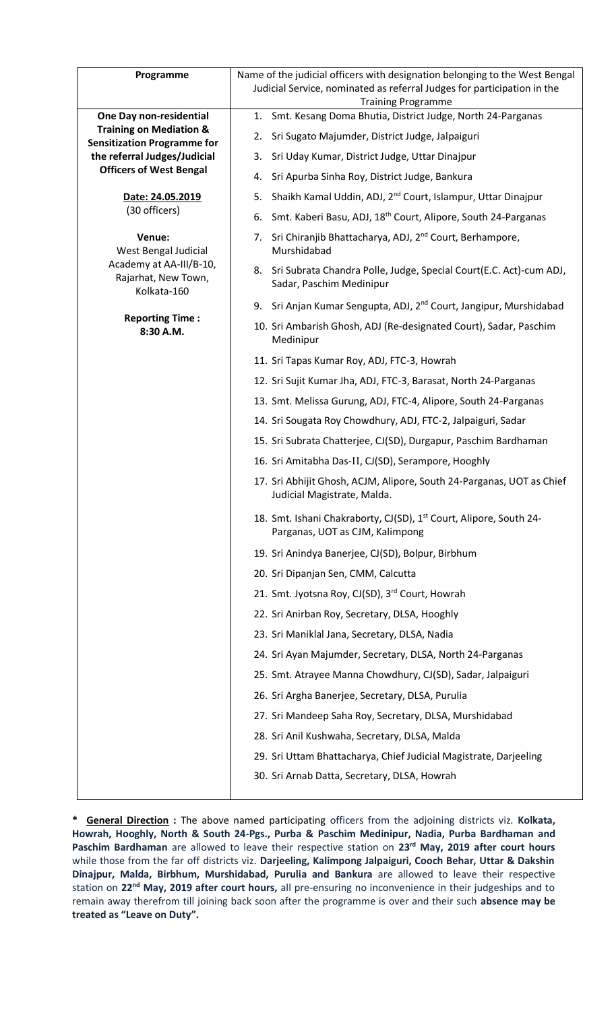| Programme                                                                | Name of the judicial officers with designation belonging to the West Bengal                           |
|--------------------------------------------------------------------------|-------------------------------------------------------------------------------------------------------|
|                                                                          | Judicial Service, nominated as referral Judges for participation in the                               |
|                                                                          | <b>Training Programme</b>                                                                             |
| <b>One Day non-residential</b>                                           | 1. Smt. Kesang Doma Bhutia, District Judge, North 24-Parganas                                         |
| <b>Training on Mediation &amp;</b><br><b>Sensitization Programme for</b> | 2. Sri Sugato Majumder, District Judge, Jalpaiguri                                                    |
| the referral Judges/Judicial                                             | 3. Sri Uday Kumar, District Judge, Uttar Dinajpur                                                     |
| <b>Officers of West Bengal</b>                                           | Sri Apurba Sinha Roy, District Judge, Bankura<br>4.                                                   |
| Date: 24.05.2019                                                         | 5. Shaikh Kamal Uddin, ADJ, 2 <sup>nd</sup> Court, Islampur, Uttar Dinajpur                           |
| (30 officers)                                                            | Smt. Kaberi Basu, ADJ, 18 <sup>th</sup> Court, Alipore, South 24-Parganas<br>6.                       |
| Venue:<br>West Bengal Judicial                                           | Sri Chiranjib Bhattacharya, ADJ, 2 <sup>nd</sup> Court, Berhampore,<br>7.<br>Murshidabad              |
| Academy at AA-III/B-10,<br>Rajarhat, New Town,<br>Kolkata-160            | 8. Sri Subrata Chandra Polle, Judge, Special Court(E.C. Act)-cum ADJ,<br>Sadar, Paschim Medinipur     |
|                                                                          | 9. Sri Anjan Kumar Sengupta, ADJ, 2 <sup>nd</sup> Court, Jangipur, Murshidabad                        |
| <b>Reporting Time:</b><br>8:30 A.M.                                      | 10. Sri Ambarish Ghosh, ADJ (Re-designated Court), Sadar, Paschim<br>Medinipur                        |
|                                                                          | 11. Sri Tapas Kumar Roy, ADJ, FTC-3, Howrah                                                           |
|                                                                          | 12. Sri Sujit Kumar Jha, ADJ, FTC-3, Barasat, North 24-Parganas                                       |
|                                                                          | 13. Smt. Melissa Gurung, ADJ, FTC-4, Alipore, South 24-Parganas                                       |
|                                                                          | 14. Sri Sougata Roy Chowdhury, ADJ, FTC-2, Jalpaiguri, Sadar                                          |
|                                                                          | 15. Sri Subrata Chatterjee, CJ(SD), Durgapur, Paschim Bardhaman                                       |
|                                                                          | 16. Sri Amitabha Das-II, CJ(SD), Serampore, Hooghly                                                   |
|                                                                          | 17. Sri Abhijit Ghosh, ACJM, Alipore, South 24-Parganas, UOT as Chief<br>Judicial Magistrate, Malda.  |
|                                                                          | 18. Smt. Ishani Chakraborty, CJ(SD), 1st Court, Alipore, South 24-<br>Parganas, UOT as CJM, Kalimpong |
|                                                                          | 19. Sri Anindya Banerjee, CJ(SD), Bolpur, Birbhum                                                     |
|                                                                          | 20. Sri Dipanjan Sen, CMM, Calcutta                                                                   |
|                                                                          | 21. Smt. Jyotsna Roy, CJ(SD), 3rd Court, Howrah                                                       |
|                                                                          | 22. Sri Anirban Roy, Secretary, DLSA, Hooghly                                                         |
|                                                                          | 23. Sri Maniklal Jana, Secretary, DLSA, Nadia                                                         |
|                                                                          | 24. Sri Ayan Majumder, Secretary, DLSA, North 24-Parganas                                             |
|                                                                          | 25. Smt. Atrayee Manna Chowdhury, CJ(SD), Sadar, Jalpaiguri                                           |
|                                                                          | 26. Sri Argha Banerjee, Secretary, DLSA, Purulia                                                      |
|                                                                          | 27. Sri Mandeep Saha Roy, Secretary, DLSA, Murshidabad                                                |
|                                                                          | 28. Sri Anil Kushwaha, Secretary, DLSA, Malda                                                         |
|                                                                          | 29. Sri Uttam Bhattacharya, Chief Judicial Magistrate, Darjeeling                                     |
|                                                                          | 30. Sri Arnab Datta, Secretary, DLSA, Howrah                                                          |
|                                                                          |                                                                                                       |

**\* General Direction :** The above named participating officers from the adjoining districts viz. **Kolkata, Howrah, Hooghly, North & South 24-Pgs., Purba & Paschim Medinipur, Nadia, Purba Bardhaman and Paschim Bardhaman** are allowed to leave their respective station on **23rd May, 2019 after court hours** while those from the far off districts viz. **Darjeeling, Kalimpong Jalpaiguri, Cooch Behar, Uttar & Dakshin Dinajpur, Malda, Birbhum, Murshidabad, Purulia and Bankura** are allowed to leave their respective station on **22nd May, 2019 after court hours,** all pre-ensuring no inconvenience in their judgeships and to remain away therefrom till joining back soon after the programme is over and their such **absence may be treated as "Leave on Duty".**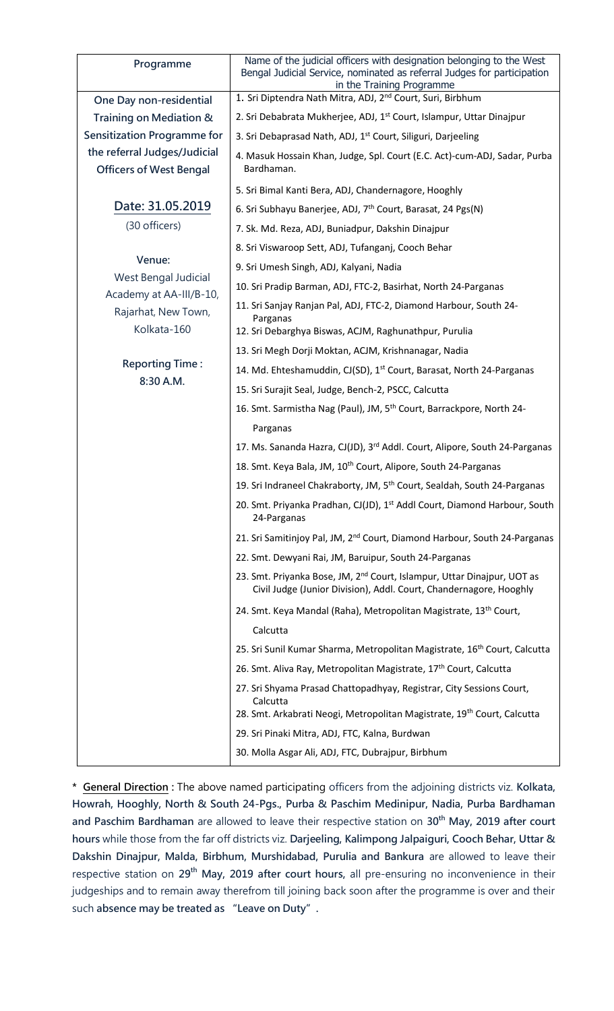| Programme                                       | Name of the judicial officers with designation belonging to the West<br>Bengal Judicial Service, nominated as referral Judges for participation<br>in the Training Programme |
|-------------------------------------------------|------------------------------------------------------------------------------------------------------------------------------------------------------------------------------|
| One Day non-residential                         | 1. Sri Diptendra Nath Mitra, ADJ, 2 <sup>nd</sup> Court, Suri, Birbhum                                                                                                       |
| Training on Mediation &                         | 2. Sri Debabrata Mukherjee, ADJ, 1 <sup>st</sup> Court, Islampur, Uttar Dinajpur                                                                                             |
| <b>Sensitization Programme for</b>              | 3. Sri Debaprasad Nath, ADJ, 1 <sup>st</sup> Court, Siliguri, Darjeeling                                                                                                     |
| the referral Judges/Judicial                    | 4. Masuk Hossain Khan, Judge, Spl. Court (E.C. Act)-cum-ADJ, Sadar, Purba                                                                                                    |
| <b>Officers of West Bengal</b>                  | Bardhaman.                                                                                                                                                                   |
|                                                 | 5. Sri Bimal Kanti Bera, ADJ, Chandernagore, Hooghly                                                                                                                         |
| Date: 31.05.2019                                | 6. Sri Subhayu Banerjee, ADJ, 7 <sup>th</sup> Court, Barasat, 24 Pgs(N)                                                                                                      |
| (30 officers)                                   | 7. Sk. Md. Reza, ADJ, Buniadpur, Dakshin Dinajpur                                                                                                                            |
|                                                 | 8. Sri Viswaroop Sett, ADJ, Tufanganj, Cooch Behar                                                                                                                           |
| Venue:                                          | 9. Sri Umesh Singh, ADJ, Kalyani, Nadia                                                                                                                                      |
| West Bengal Judicial<br>Academy at AA-III/B-10, | 10. Sri Pradip Barman, ADJ, FTC-2, Basirhat, North 24-Parganas                                                                                                               |
| Rajarhat, New Town,                             | 11. Sri Sanjay Ranjan Pal, ADJ, FTC-2, Diamond Harbour, South 24-                                                                                                            |
| Kolkata-160                                     | Parganas<br>12. Sri Debarghya Biswas, ACJM, Raghunathpur, Purulia                                                                                                            |
|                                                 | 13. Sri Megh Dorji Moktan, ACJM, Krishnanagar, Nadia                                                                                                                         |
| <b>Reporting Time:</b>                          | 14. Md. Ehteshamuddin, CJ(SD), 1 <sup>st</sup> Court, Barasat, North 24-Parganas                                                                                             |
| 8:30 A.M.                                       | 15. Sri Surajit Seal, Judge, Bench-2, PSCC, Calcutta                                                                                                                         |
|                                                 | 16. Smt. Sarmistha Nag (Paul), JM, 5 <sup>th</sup> Court, Barrackpore, North 24-                                                                                             |
|                                                 | Parganas                                                                                                                                                                     |
|                                                 | 17. Ms. Sananda Hazra, CJ(JD), 3rd Addl. Court, Alipore, South 24-Parganas                                                                                                   |
|                                                 | 18. Smt. Keya Bala, JM, 10 <sup>th</sup> Court, Alipore, South 24-Parganas                                                                                                   |
|                                                 | 19. Sri Indraneel Chakraborty, JM, 5 <sup>th</sup> Court, Sealdah, South 24-Parganas                                                                                         |
|                                                 | 20. Smt. Priyanka Pradhan, CJ(JD), 1 <sup>st</sup> Addl Court, Diamond Harbour, South<br>24-Parganas                                                                         |
|                                                 | 21. Sri Samitinjoy Pal, JM, 2 <sup>nd</sup> Court, Diamond Harbour, South 24-Parganas                                                                                        |
|                                                 | 22. Smt. Dewyani Rai, JM, Baruipur, South 24-Parganas                                                                                                                        |
|                                                 | 23. Smt. Priyanka Bose, JM, 2 <sup>nd</sup> Court, Islampur, Uttar Dinajpur, UOT as<br>Civil Judge (Junior Division), Addl. Court, Chandernagore, Hooghly                    |
|                                                 | 24. Smt. Keya Mandal (Raha), Metropolitan Magistrate, 13 <sup>th</sup> Court,                                                                                                |
|                                                 | Calcutta                                                                                                                                                                     |
|                                                 | 25. Sri Sunil Kumar Sharma, Metropolitan Magistrate, 16 <sup>th</sup> Court, Calcutta                                                                                        |
|                                                 | 26. Smt. Aliva Ray, Metropolitan Magistrate, 17 <sup>th</sup> Court, Calcutta                                                                                                |
|                                                 | 27. Sri Shyama Prasad Chattopadhyay, Registrar, City Sessions Court,<br>Calcutta                                                                                             |
|                                                 | 28. Smt. Arkabrati Neogi, Metropolitan Magistrate, 19 <sup>th</sup> Court, Calcutta                                                                                          |
|                                                 | 29. Sri Pinaki Mitra, ADJ, FTC, Kalna, Burdwan                                                                                                                               |
|                                                 | 30. Molla Asgar Ali, ADJ, FTC, Dubrajpur, Birbhum                                                                                                                            |

**\* General Direction :** The above named participating officers from the adjoining districts viz. **Kolkata, Howrah, Hooghly, North & South 24-Pgs., Purba & Paschim Medinipur, Nadia, Purba Bardhaman and Paschim Bardhaman** are allowed to leave their respective station on **30th May, 2019 after court hours** while those from the far off districts viz. **Darjeeling, Kalimpong Jalpaiguri, Cooch Behar, Uttar & Dakshin Dinajpur, Malda, Birbhum, Murshidabad, Purulia and Bankura** are allowed to leave their respective station on **29th May, 2019 after court hours,** all pre-ensuring no inconvenience in their judgeships and to remain away therefrom till joining back soon after the programme is over and their such **absence may be treated as "Leave on Duty".**